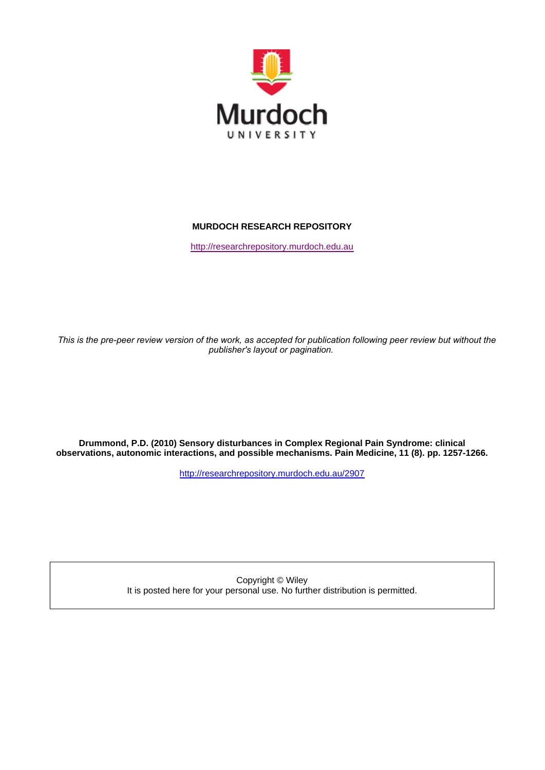

# **MURDOCH RESEARCH REPOSITORY**

http://researchrepository.murdoch.edu.au

*This is the pre-peer review version of the work, as accepted for publication following peer review but without the publisher's layout or pagination.*

**Drummond, P.D. (2010) Sensory disturbances in Complex Regional Pain Syndrome: clinical observations, autonomic interactions, and possible mechanisms. Pain Medicine, 11 (8). pp. 1257-1266.**

http://researchrepository.murdoch.edu.au/2907

Copyright © Wiley It is posted here for your personal use. No further distribution is permitted.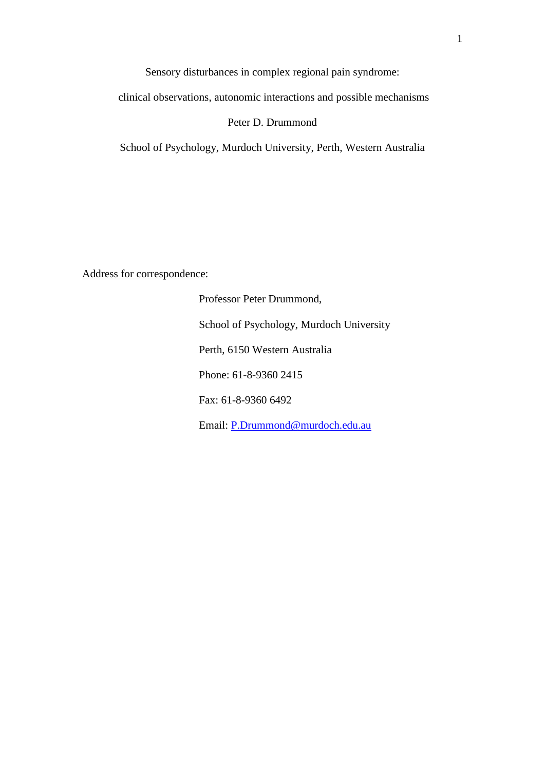clinical observations, autonomic interactions and possible mechanisms

# Peter D. Drummond

School of Psychology, Murdoch University, Perth, Western Australia

Address for correspondence:

Professor Peter Drummond, School of Psychology, Murdoch University Perth, 6150 Western Australia Phone: 61-8-9360 2415 Fax: 61-8-9360 6492 Email: [P.Drummond@murdoch.edu.au](mailto:P.Drummond@murdoch.edu.au)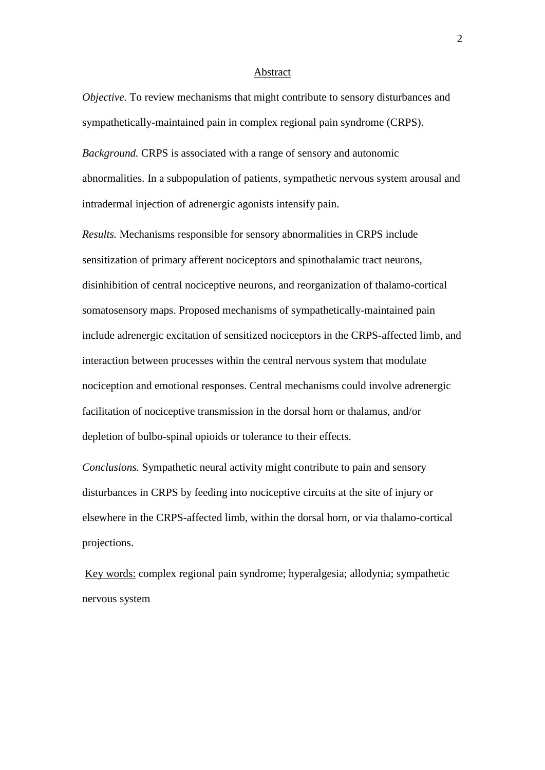#### Abstract

*Objective.* To review mechanisms that might contribute to sensory disturbances and sympathetically-maintained pain in complex regional pain syndrome (CRPS).

*Background.* CRPS is associated with a range of sensory and autonomic abnormalities. In a subpopulation of patients, sympathetic nervous system arousal and intradermal injection of adrenergic agonists intensify pain.

*Results.* Mechanisms responsible for sensory abnormalities in CRPS include sensitization of primary afferent nociceptors and spinothalamic tract neurons, disinhibition of central nociceptive neurons, and reorganization of thalamo-cortical somatosensory maps. Proposed mechanisms of sympathetically-maintained pain include adrenergic excitation of sensitized nociceptors in the CRPS-affected limb, and interaction between processes within the central nervous system that modulate nociception and emotional responses. Central mechanisms could involve adrenergic facilitation of nociceptive transmission in the dorsal horn or thalamus, and/or depletion of bulbo-spinal opioids or tolerance to their effects.

*Conclusions.* Sympathetic neural activity might contribute to pain and sensory disturbances in CRPS by feeding into nociceptive circuits at the site of injury or elsewhere in the CRPS-affected limb, within the dorsal horn, or via thalamo-cortical projections.

Key words: complex regional pain syndrome; hyperalgesia; allodynia; sympathetic nervous system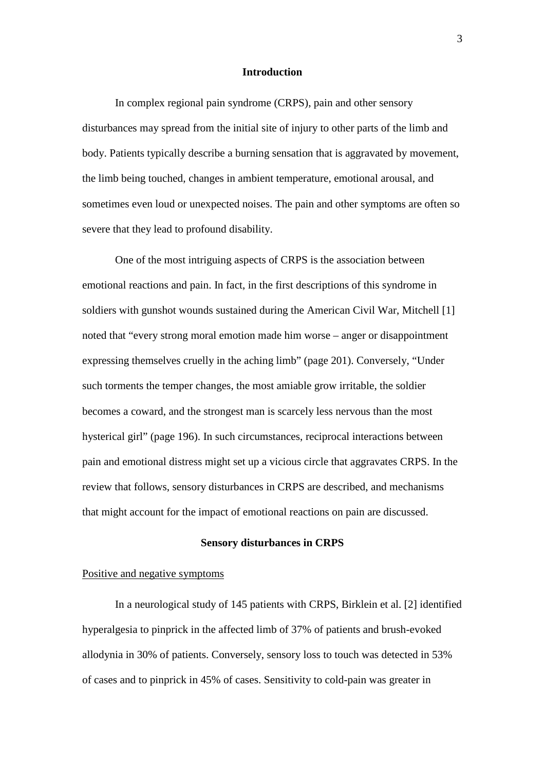## **Introduction**

In complex regional pain syndrome (CRPS), pain and other sensory disturbances may spread from the initial site of injury to other parts of the limb and body. Patients typically describe a burning sensation that is aggravated by movement, the limb being touched, changes in ambient temperature, emotional arousal, and sometimes even loud or unexpected noises. The pain and other symptoms are often so severe that they lead to profound disability.

One of the most intriguing aspects of CRPS is the association between emotional reactions and pain. In fact, in the first descriptions of this syndrome in soldiers with gunshot wounds sustained during the American Civil War, Mitchell [1] noted that "every strong moral emotion made him worse – anger or disappointment expressing themselves cruelly in the aching limb" (page 201). Conversely, "Under such torments the temper changes, the most amiable grow irritable, the soldier becomes a coward, and the strongest man is scarcely less nervous than the most hysterical girl" (page 196). In such circumstances, reciprocal interactions between pain and emotional distress might set up a vicious circle that aggravates CRPS. In the review that follows, sensory disturbances in CRPS are described, and mechanisms that might account for the impact of emotional reactions on pain are discussed.

## **Sensory disturbances in CRPS**

## Positive and negative symptoms

In a neurological study of 145 patients with CRPS, Birklein et al. [2] identified hyperalgesia to pinprick in the affected limb of 37% of patients and brush-evoked allodynia in 30% of patients. Conversely, sensory loss to touch was detected in 53% of cases and to pinprick in 45% of cases. Sensitivity to cold-pain was greater in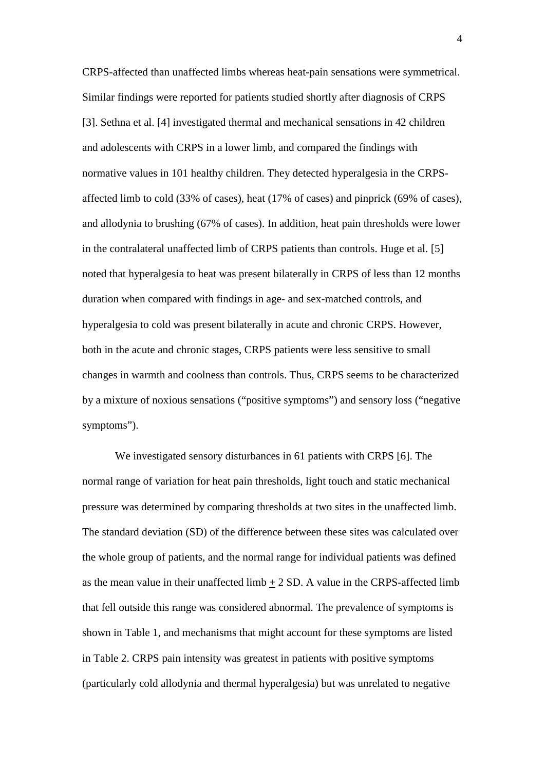CRPS-affected than unaffected limbs whereas heat-pain sensations were symmetrical. Similar findings were reported for patients studied shortly after diagnosis of CRPS [3]. Sethna et al. [4] investigated thermal and mechanical sensations in 42 children and adolescents with CRPS in a lower limb, and compared the findings with normative values in 101 healthy children. They detected hyperalgesia in the CRPSaffected limb to cold (33% of cases), heat (17% of cases) and pinprick (69% of cases), and allodynia to brushing (67% of cases). In addition, heat pain thresholds were lower in the contralateral unaffected limb of CRPS patients than controls. Huge et al. [5] noted that hyperalgesia to heat was present bilaterally in CRPS of less than 12 months duration when compared with findings in age- and sex-matched controls, and hyperalgesia to cold was present bilaterally in acute and chronic CRPS. However, both in the acute and chronic stages, CRPS patients were less sensitive to small changes in warmth and coolness than controls. Thus, CRPS seems to be characterized by a mixture of noxious sensations ("positive symptoms") and sensory loss ("negative symptoms").

We investigated sensory disturbances in 61 patients with CRPS [6]. The normal range of variation for heat pain thresholds, light touch and static mechanical pressure was determined by comparing thresholds at two sites in the unaffected limb. The standard deviation (SD) of the difference between these sites was calculated over the whole group of patients, and the normal range for individual patients was defined as the mean value in their unaffected limb  $\pm$  2 SD. A value in the CRPS-affected limb that fell outside this range was considered abnormal. The prevalence of symptoms is shown in Table 1, and mechanisms that might account for these symptoms are listed in Table 2. CRPS pain intensity was greatest in patients with positive symptoms (particularly cold allodynia and thermal hyperalgesia) but was unrelated to negative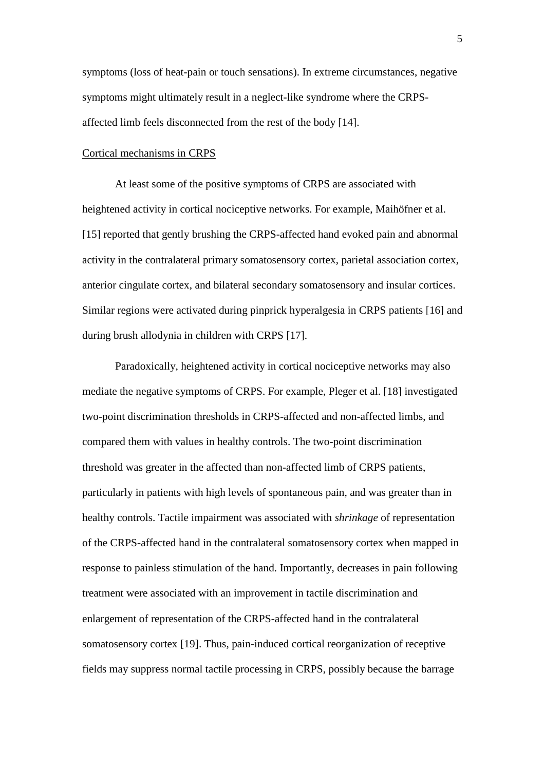symptoms (loss of heat-pain or touch sensations). In extreme circumstances, negative symptoms might ultimately result in a neglect-like syndrome where the CRPSaffected limb feels disconnected from the rest of the body [14].

#### Cortical mechanisms in CRPS

At least some of the positive symptoms of CRPS are associated with heightened activity in cortical nociceptive networks. For example, Maihöfner et al. [15] reported that gently brushing the CRPS-affected hand evoked pain and abnormal activity in the contralateral primary somatosensory cortex, parietal association cortex, anterior cingulate cortex, and bilateral secondary somatosensory and insular cortices. Similar regions were activated during pinprick hyperalgesia in CRPS patients [16] and during brush allodynia in children with CRPS [17].

Paradoxically, heightened activity in cortical nociceptive networks may also mediate the negative symptoms of CRPS. For example, Pleger et al. [18] investigated two-point discrimination thresholds in CRPS-affected and non-affected limbs, and compared them with values in healthy controls. The two-point discrimination threshold was greater in the affected than non-affected limb of CRPS patients, particularly in patients with high levels of spontaneous pain, and was greater than in healthy controls. Tactile impairment was associated with *shrinkage* of representation of the CRPS-affected hand in the contralateral somatosensory cortex when mapped in response to painless stimulation of the hand. Importantly, decreases in pain following treatment were associated with an improvement in tactile discrimination and enlargement of representation of the CRPS-affected hand in the contralateral somatosensory cortex [19]. Thus, pain-induced cortical reorganization of receptive fields may suppress normal tactile processing in CRPS, possibly because the barrage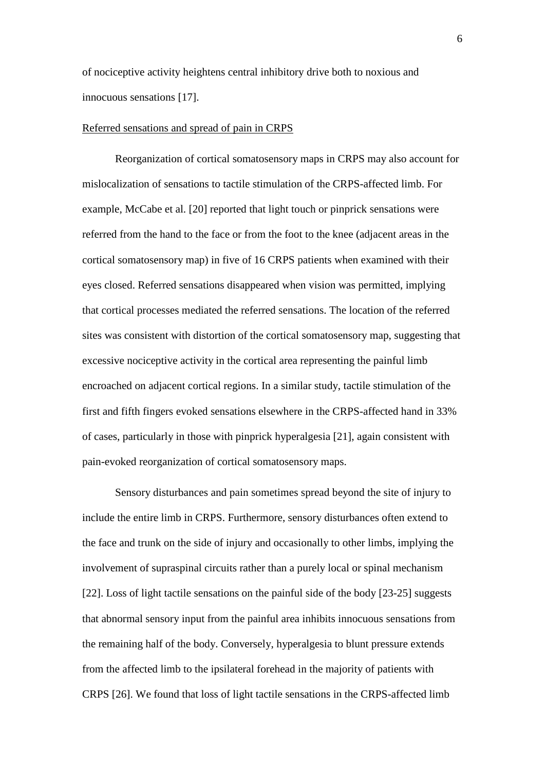of nociceptive activity heightens central inhibitory drive both to noxious and innocuous sensations [17].

## Referred sensations and spread of pain in CRPS

Reorganization of cortical somatosensory maps in CRPS may also account for mislocalization of sensations to tactile stimulation of the CRPS-affected limb. For example, McCabe et al. [20] reported that light touch or pinprick sensations were referred from the hand to the face or from the foot to the knee (adjacent areas in the cortical somatosensory map) in five of 16 CRPS patients when examined with their eyes closed. Referred sensations disappeared when vision was permitted, implying that cortical processes mediated the referred sensations. The location of the referred sites was consistent with distortion of the cortical somatosensory map, suggesting that excessive nociceptive activity in the cortical area representing the painful limb encroached on adjacent cortical regions. In a similar study, tactile stimulation of the first and fifth fingers evoked sensations elsewhere in the CRPS-affected hand in 33% of cases, particularly in those with pinprick hyperalgesia [21], again consistent with pain-evoked reorganization of cortical somatosensory maps.

Sensory disturbances and pain sometimes spread beyond the site of injury to include the entire limb in CRPS. Furthermore, sensory disturbances often extend to the face and trunk on the side of injury and occasionally to other limbs, implying the involvement of supraspinal circuits rather than a purely local or spinal mechanism [22]. Loss of light tactile sensations on the painful side of the body [23-25] suggests that abnormal sensory input from the painful area inhibits innocuous sensations from the remaining half of the body. Conversely, hyperalgesia to blunt pressure extends from the affected limb to the ipsilateral forehead in the majority of patients with CRPS [26]. We found that loss of light tactile sensations in the CRPS-affected limb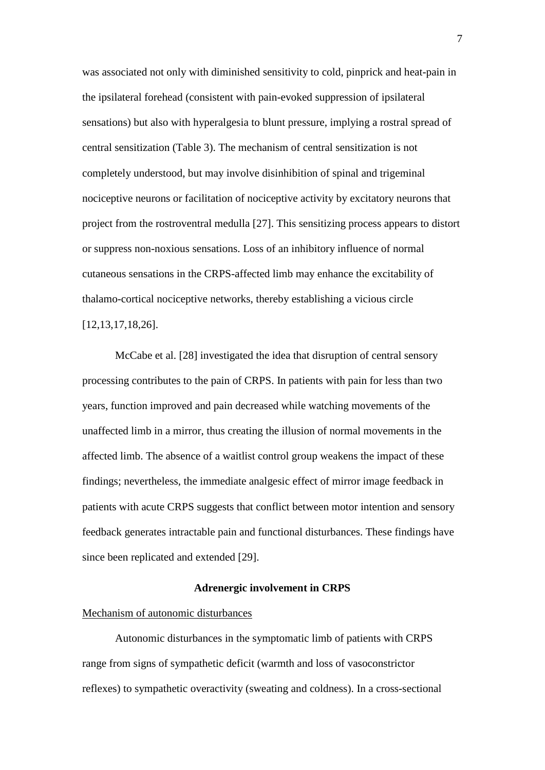was associated not only with diminished sensitivity to cold, pinprick and heat-pain in the ipsilateral forehead (consistent with pain-evoked suppression of ipsilateral sensations) but also with hyperalgesia to blunt pressure, implying a rostral spread of central sensitization (Table 3). The mechanism of central sensitization is not completely understood, but may involve disinhibition of spinal and trigeminal nociceptive neurons or facilitation of nociceptive activity by excitatory neurons that project from the rostroventral medulla [27]. This sensitizing process appears to distort or suppress non-noxious sensations. Loss of an inhibitory influence of normal cutaneous sensations in the CRPS-affected limb may enhance the excitability of thalamo-cortical nociceptive networks, thereby establishing a vicious circle [12,13,17,18,26].

McCabe et al. [28] investigated the idea that disruption of central sensory processing contributes to the pain of CRPS. In patients with pain for less than two years, function improved and pain decreased while watching movements of the unaffected limb in a mirror, thus creating the illusion of normal movements in the affected limb. The absence of a waitlist control group weakens the impact of these findings; nevertheless, the immediate analgesic effect of mirror image feedback in patients with acute CRPS suggests that conflict between motor intention and sensory feedback generates intractable pain and functional disturbances. These findings have since been replicated and extended [29].

#### **Adrenergic involvement in CRPS**

#### Mechanism of autonomic disturbances

Autonomic disturbances in the symptomatic limb of patients with CRPS range from signs of sympathetic deficit (warmth and loss of vasoconstrictor reflexes) to sympathetic overactivity (sweating and coldness). In a cross-sectional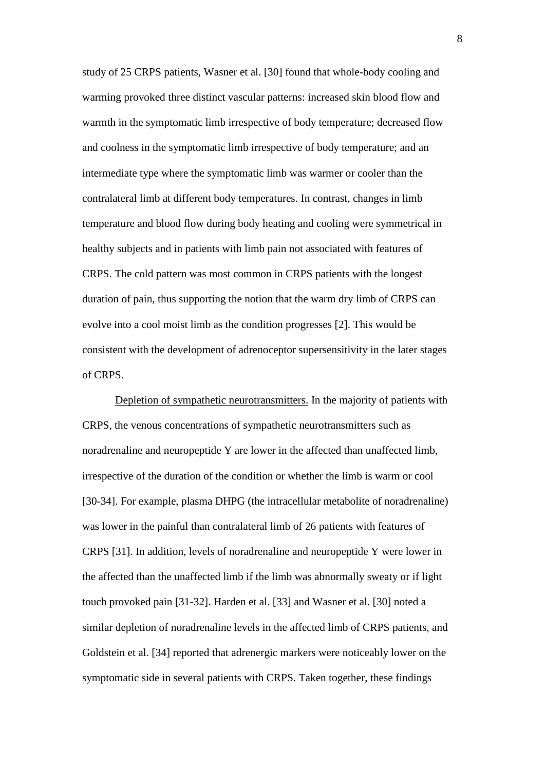study of 25 CRPS patients, Wasner et al. [30] found that whole-body cooling and warming provoked three distinct vascular patterns: increased skin blood flow and warmth in the symptomatic limb irrespective of body temperature; decreased flow and coolness in the symptomatic limb irrespective of body temperature; and an intermediate type where the symptomatic limb was warmer or cooler than the contralateral limb at different body temperatures. In contrast, changes in limb temperature and blood flow during body heating and cooling were symmetrical in healthy subjects and in patients with limb pain not associated with features of CRPS. The cold pattern was most common in CRPS patients with the longest duration of pain, thus supporting the notion that the warm dry limb of CRPS can evolve into a cool moist limb as the condition progresses [2]. This would be consistent with the development of adrenoceptor supersensitivity in the later stages of CRPS.

Depletion of sympathetic neurotransmitters. In the majority of patients with CRPS, the venous concentrations of sympathetic neurotransmitters such as noradrenaline and neuropeptide Y are lower in the affected than unaffected limb, irrespective of the duration of the condition or whether the limb is warm or cool [30-34]. For example, plasma DHPG (the intracellular metabolite of noradrenaline) was lower in the painful than contralateral limb of 26 patients with features of CRPS [31]. In addition, levels of noradrenaline and neuropeptide Y were lower in the affected than the unaffected limb if the limb was abnormally sweaty or if light touch provoked pain [31-32]. Harden et al. [33] and Wasner et al. [30] noted a similar depletion of noradrenaline levels in the affected limb of CRPS patients, and Goldstein et al. [34] reported that adrenergic markers were noticeably lower on the symptomatic side in several patients with CRPS. Taken together, these findings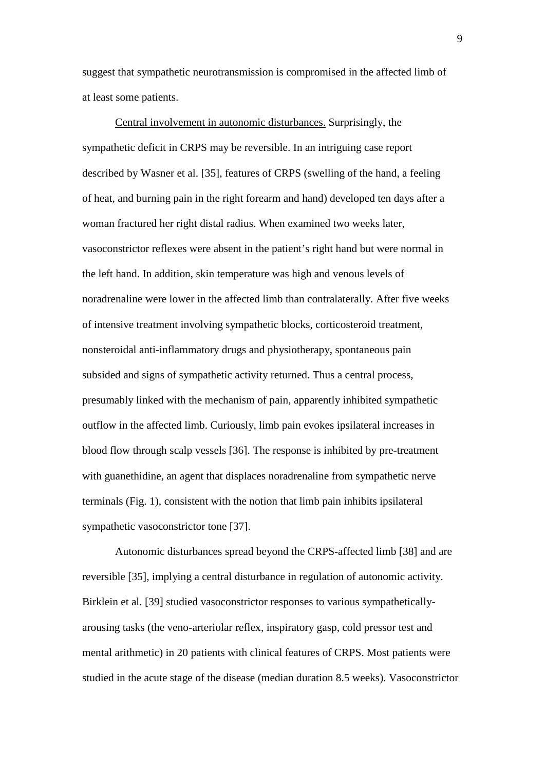suggest that sympathetic neurotransmission is compromised in the affected limb of at least some patients.

Central involvement in autonomic disturbances. Surprisingly, the sympathetic deficit in CRPS may be reversible. In an intriguing case report described by Wasner et al. [35], features of CRPS (swelling of the hand, a feeling of heat, and burning pain in the right forearm and hand) developed ten days after a woman fractured her right distal radius. When examined two weeks later, vasoconstrictor reflexes were absent in the patient's right hand but were normal in the left hand. In addition, skin temperature was high and venous levels of noradrenaline were lower in the affected limb than contralaterally. After five weeks of intensive treatment involving sympathetic blocks, corticosteroid treatment, nonsteroidal anti-inflammatory drugs and physiotherapy, spontaneous pain subsided and signs of sympathetic activity returned. Thus a central process, presumably linked with the mechanism of pain, apparently inhibited sympathetic outflow in the affected limb. Curiously, limb pain evokes ipsilateral increases in blood flow through scalp vessels [36]. The response is inhibited by pre-treatment with guanethidine, an agent that displaces noradrenaline from sympathetic nerve terminals (Fig. 1), consistent with the notion that limb pain inhibits ipsilateral sympathetic vasoconstrictor tone [37].

Autonomic disturbances spread beyond the CRPS-affected limb [38] and are reversible [35], implying a central disturbance in regulation of autonomic activity. Birklein et al. [39] studied vasoconstrictor responses to various sympatheticallyarousing tasks (the veno-arteriolar reflex, inspiratory gasp, cold pressor test and mental arithmetic) in 20 patients with clinical features of CRPS. Most patients were studied in the acute stage of the disease (median duration 8.5 weeks). Vasoconstrictor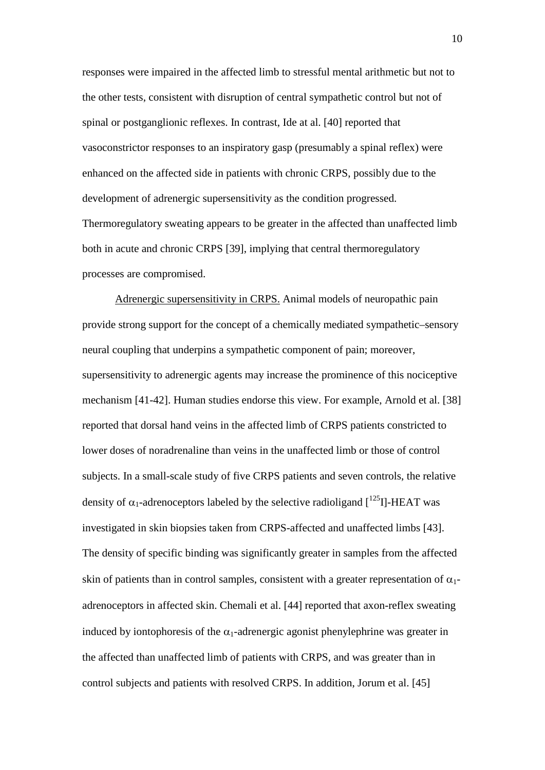responses were impaired in the affected limb to stressful mental arithmetic but not to the other tests, consistent with disruption of central sympathetic control but not of spinal or postganglionic reflexes. In contrast, Ide at al. [40] reported that vasoconstrictor responses to an inspiratory gasp (presumably a spinal reflex) were enhanced on the affected side in patients with chronic CRPS, possibly due to the development of adrenergic supersensitivity as the condition progressed. Thermoregulatory sweating appears to be greater in the affected than unaffected limb both in acute and chronic CRPS [39], implying that central thermoregulatory processes are compromised.

Adrenergic supersensitivity in CRPS. Animal models of neuropathic pain provide strong support for the concept of a chemically mediated sympathetic–sensory neural coupling that underpins a sympathetic component of pain; moreover, supersensitivity to adrenergic agents may increase the prominence of this nociceptive mechanism [41-42]. Human studies endorse this view. For example, Arnold et al. [38] reported that dorsal hand veins in the affected limb of CRPS patients constricted to lower doses of noradrenaline than veins in the unaffected limb or those of control subjects. In a small-scale study of five CRPS patients and seven controls, the relative density of  $\alpha_1$ -adrenoceptors labeled by the selective radioligand  $\int^{125}$ I]-HEAT was investigated in skin biopsies taken from CRPS-affected and unaffected limbs [43]. The density of specific binding was significantly greater in samples from the affected skin of patients than in control samples, consistent with a greater representation of  $\alpha_1$ adrenoceptors in affected skin. Chemali et al. [44] reported that axon-reflex sweating induced by iontophoresis of the  $\alpha_1$ -adrenergic agonist phenylephrine was greater in the affected than unaffected limb of patients with CRPS, and was greater than in control subjects and patients with resolved CRPS. In addition, Jorum et al. [45]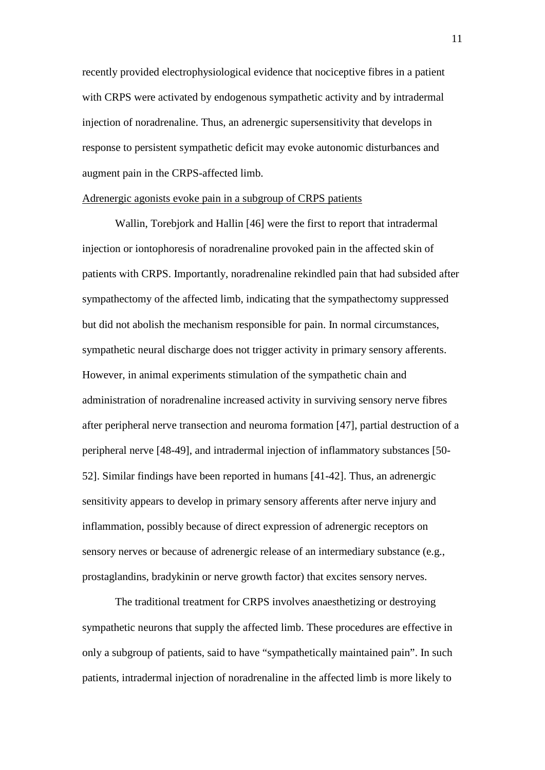recently provided electrophysiological evidence that nociceptive fibres in a patient with CRPS were activated by endogenous sympathetic activity and by intradermal injection of noradrenaline. Thus, an adrenergic supersensitivity that develops in response to persistent sympathetic deficit may evoke autonomic disturbances and augment pain in the CRPS-affected limb.

## Adrenergic agonists evoke pain in a subgroup of CRPS patients

Wallin, Torebjork and Hallin [46] were the first to report that intradermal injection or iontophoresis of noradrenaline provoked pain in the affected skin of patients with CRPS. Importantly, noradrenaline rekindled pain that had subsided after sympathectomy of the affected limb, indicating that the sympathectomy suppressed but did not abolish the mechanism responsible for pain. In normal circumstances, sympathetic neural discharge does not trigger activity in primary sensory afferents. However, in animal experiments stimulation of the sympathetic chain and administration of noradrenaline increased activity in surviving sensory nerve fibres after peripheral nerve transection and neuroma formation [47], partial destruction of a peripheral nerve [48-49], and intradermal injection of inflammatory substances [50- 52]. Similar findings have been reported in humans [41-42]. Thus, an adrenergic sensitivity appears to develop in primary sensory afferents after nerve injury and inflammation, possibly because of direct expression of adrenergic receptors on sensory nerves or because of adrenergic release of an intermediary substance (e.g., prostaglandins, bradykinin or nerve growth factor) that excites sensory nerves.

The traditional treatment for CRPS involves anaesthetizing or destroying sympathetic neurons that supply the affected limb. These procedures are effective in only a subgroup of patients, said to have "sympathetically maintained pain". In such patients, intradermal injection of noradrenaline in the affected limb is more likely to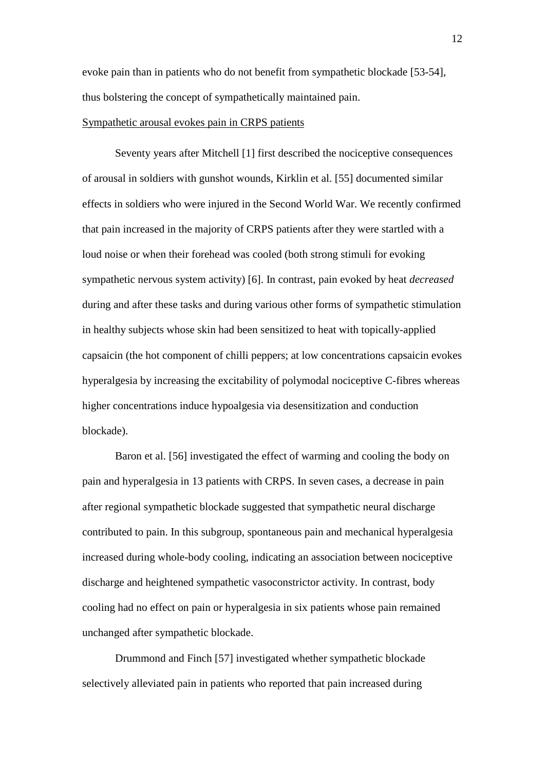evoke pain than in patients who do not benefit from sympathetic blockade [53-54], thus bolstering the concept of sympathetically maintained pain.

## Sympathetic arousal evokes pain in CRPS patients

Seventy years after Mitchell [1] first described the nociceptive consequences of arousal in soldiers with gunshot wounds, Kirklin et al. [55] documented similar effects in soldiers who were injured in the Second World War. We recently confirmed that pain increased in the majority of CRPS patients after they were startled with a loud noise or when their forehead was cooled (both strong stimuli for evoking sympathetic nervous system activity) [6]. In contrast, pain evoked by heat *decreased* during and after these tasks and during various other forms of sympathetic stimulation in healthy subjects whose skin had been sensitized to heat with topically-applied capsaicin (the hot component of chilli peppers; at low concentrations capsaicin evokes hyperalgesia by increasing the excitability of polymodal nociceptive C-fibres whereas higher concentrations induce hypoalgesia via desensitization and conduction blockade).

Baron et al. [56] investigated the effect of warming and cooling the body on pain and hyperalgesia in 13 patients with CRPS. In seven cases, a decrease in pain after regional sympathetic blockade suggested that sympathetic neural discharge contributed to pain. In this subgroup, spontaneous pain and mechanical hyperalgesia increased during whole-body cooling, indicating an association between nociceptive discharge and heightened sympathetic vasoconstrictor activity. In contrast, body cooling had no effect on pain or hyperalgesia in six patients whose pain remained unchanged after sympathetic blockade.

Drummond and Finch [57] investigated whether sympathetic blockade selectively alleviated pain in patients who reported that pain increased during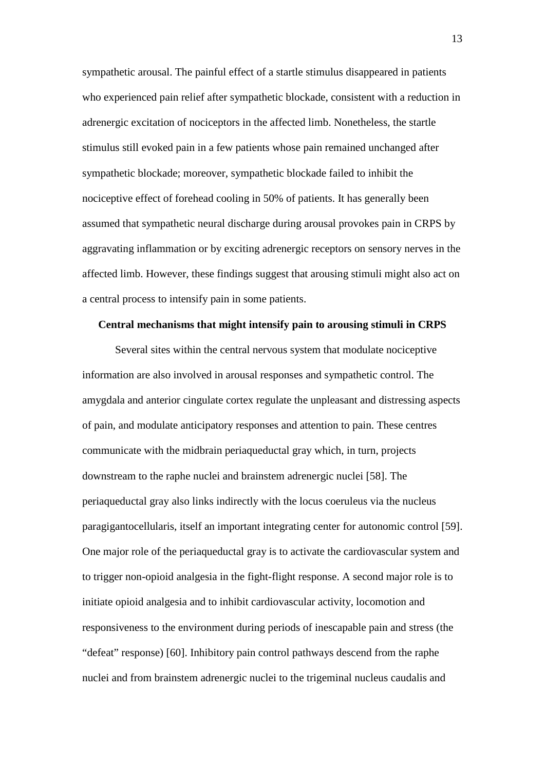sympathetic arousal. The painful effect of a startle stimulus disappeared in patients who experienced pain relief after sympathetic blockade, consistent with a reduction in adrenergic excitation of nociceptors in the affected limb. Nonetheless, the startle stimulus still evoked pain in a few patients whose pain remained unchanged after sympathetic blockade; moreover, sympathetic blockade failed to inhibit the nociceptive effect of forehead cooling in 50% of patients. It has generally been assumed that sympathetic neural discharge during arousal provokes pain in CRPS by aggravating inflammation or by exciting adrenergic receptors on sensory nerves in the affected limb. However, these findings suggest that arousing stimuli might also act on a central process to intensify pain in some patients.

# **Central mechanisms that might intensify pain to arousing stimuli in CRPS**

Several sites within the central nervous system that modulate nociceptive information are also involved in arousal responses and sympathetic control. The amygdala and anterior cingulate cortex regulate the unpleasant and distressing aspects of pain, and modulate anticipatory responses and attention to pain. These centres communicate with the midbrain periaqueductal gray which, in turn, projects downstream to the raphe nuclei and brainstem adrenergic nuclei [58]. The periaqueductal gray also links indirectly with the locus coeruleus via the nucleus paragigantocellularis, itself an important integrating center for autonomic control [59]. One major role of the periaqueductal gray is to activate the cardiovascular system and to trigger non-opioid analgesia in the fight-flight response. A second major role is to initiate opioid analgesia and to inhibit cardiovascular activity, locomotion and responsiveness to the environment during periods of inescapable pain and stress (the "defeat" response) [60]. Inhibitory pain control pathways descend from the raphe nuclei and from brainstem adrenergic nuclei to the trigeminal nucleus caudalis and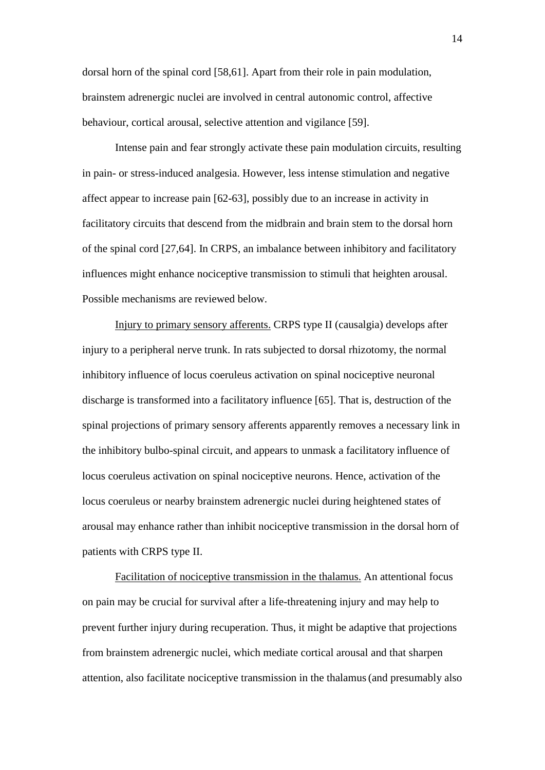dorsal horn of the spinal cord [58,61]. Apart from their role in pain modulation, brainstem adrenergic nuclei are involved in central autonomic control, affective behaviour, cortical arousal, selective attention and vigilance [59].

Intense pain and fear strongly activate these pain modulation circuits, resulting in pain- or stress-induced analgesia. However, less intense stimulation and negative affect appear to increase pain [62-63], possibly due to an increase in activity in facilitatory circuits that descend from the midbrain and brain stem to the dorsal horn of the spinal cord [27,64]. In CRPS, an imbalance between inhibitory and facilitatory influences might enhance nociceptive transmission to stimuli that heighten arousal. Possible mechanisms are reviewed below.

Injury to primary sensory afferents. CRPS type II (causalgia) develops after injury to a peripheral nerve trunk. In rats subjected to dorsal rhizotomy, the normal inhibitory influence of locus coeruleus activation on spinal nociceptive neuronal discharge is transformed into a facilitatory influence [65]. That is, destruction of the spinal projections of primary sensory afferents apparently removes a necessary link in the inhibitory bulbo-spinal circuit, and appears to unmask a facilitatory influence of locus coeruleus activation on spinal nociceptive neurons. Hence, activation of the locus coeruleus or nearby brainstem adrenergic nuclei during heightened states of arousal may enhance rather than inhibit nociceptive transmission in the dorsal horn of patients with CRPS type II.

Facilitation of nociceptive transmission in the thalamus. An attentional focus on pain may be crucial for survival after a life-threatening injury and may help to prevent further injury during recuperation. Thus, it might be adaptive that projections from brainstem adrenergic nuclei, which mediate cortical arousal and that sharpen attention, also facilitate nociceptive transmission in the thalamus(and presumably also

14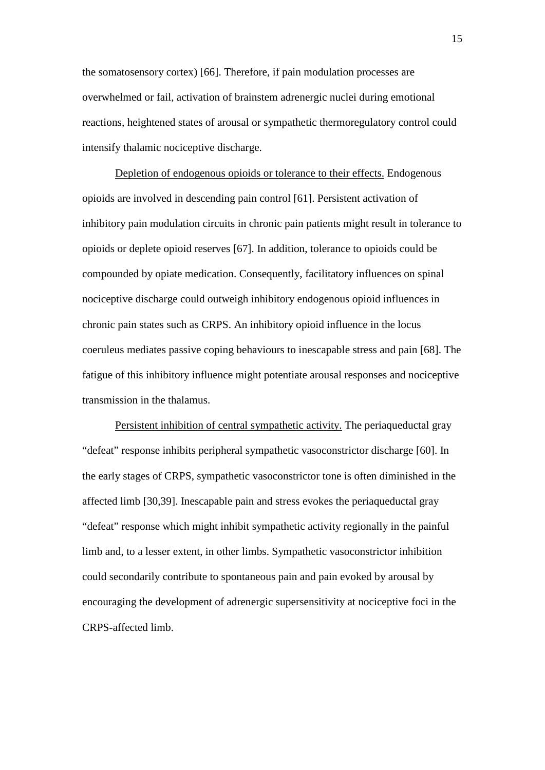the somatosensory cortex) [66]. Therefore, if pain modulation processes are overwhelmed or fail, activation of brainstem adrenergic nuclei during emotional reactions, heightened states of arousal or sympathetic thermoregulatory control could intensify thalamic nociceptive discharge.

Depletion of endogenous opioids or tolerance to their effects. Endogenous opioids are involved in descending pain control [61]. Persistent activation of inhibitory pain modulation circuits in chronic pain patients might result in tolerance to opioids or deplete opioid reserves [67]. In addition, tolerance to opioids could be compounded by opiate medication. Consequently, facilitatory influences on spinal nociceptive discharge could outweigh inhibitory endogenous opioid influences in chronic pain states such as CRPS. An inhibitory opioid influence in the locus coeruleus mediates passive coping behaviours to inescapable stress and pain [68]. The fatigue of this inhibitory influence might potentiate arousal responses and nociceptive transmission in the thalamus.

Persistent inhibition of central sympathetic activity. The periaqueductal gray "defeat" response inhibits peripheral sympathetic vasoconstrictor discharge [60]. In the early stages of CRPS, sympathetic vasoconstrictor tone is often diminished in the affected limb [30,39]. Inescapable pain and stress evokes the periaqueductal gray "defeat" response which might inhibit sympathetic activity regionally in the painful limb and, to a lesser extent, in other limbs. Sympathetic vasoconstrictor inhibition could secondarily contribute to spontaneous pain and pain evoked by arousal by encouraging the development of adrenergic supersensitivity at nociceptive foci in the CRPS-affected limb.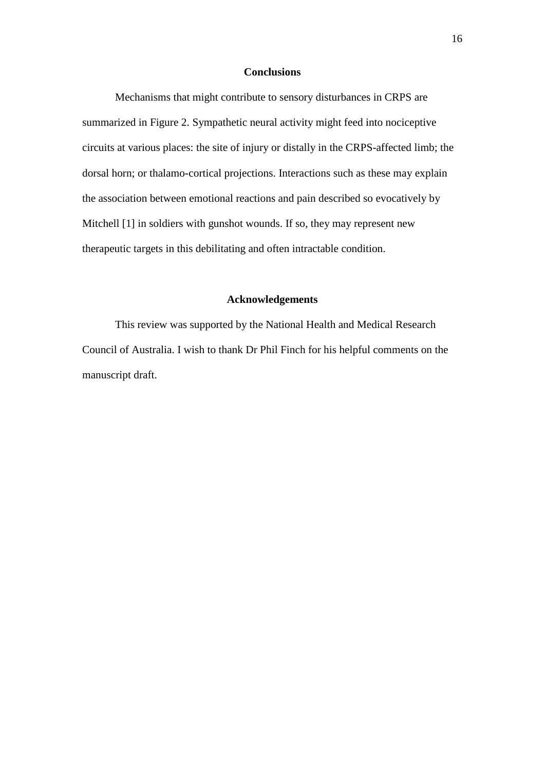# **Conclusions**

Mechanisms that might contribute to sensory disturbances in CRPS are summarized in Figure 2. Sympathetic neural activity might feed into nociceptive circuits at various places: the site of injury or distally in the CRPS-affected limb; the dorsal horn; or thalamo-cortical projections. Interactions such as these may explain the association between emotional reactions and pain described so evocatively by Mitchell [1] in soldiers with gunshot wounds. If so, they may represent new therapeutic targets in this debilitating and often intractable condition.

# **Acknowledgements**

This review was supported by the National Health and Medical Research Council of Australia. I wish to thank Dr Phil Finch for his helpful comments on the manuscript draft.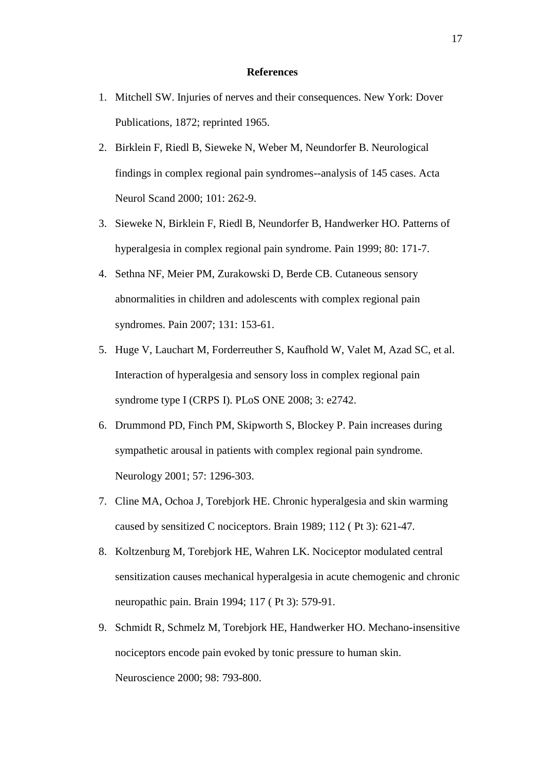## **References**

- 1. Mitchell SW. Injuries of nerves and their consequences. New York: Dover Publications, 1872; reprinted 1965.
- 2. Birklein F, Riedl B, Sieweke N, Weber M, Neundorfer B. Neurological findings in complex regional pain syndromes--analysis of 145 cases. Acta Neurol Scand 2000; 101: 262-9.
- 3. Sieweke N, Birklein F, Riedl B, Neundorfer B, Handwerker HO. Patterns of hyperalgesia in complex regional pain syndrome. Pain 1999; 80: 171-7.
- 4. Sethna NF, Meier PM, Zurakowski D, Berde CB. Cutaneous sensory abnormalities in children and adolescents with complex regional pain syndromes. Pain 2007; 131: 153-61.
- 5. Huge V, Lauchart M, Forderreuther S, Kaufhold W, Valet M, Azad SC, et al. Interaction of hyperalgesia and sensory loss in complex regional pain syndrome type I (CRPS I). PLoS ONE 2008; 3: e2742.
- 6. Drummond PD, Finch PM, Skipworth S, Blockey P. Pain increases during sympathetic arousal in patients with complex regional pain syndrome. Neurology 2001; 57: 1296-303.
- 7. Cline MA, Ochoa J, Torebjork HE. Chronic hyperalgesia and skin warming caused by sensitized C nociceptors. Brain 1989; 112 ( Pt 3): 621-47.
- 8. Koltzenburg M, Torebjork HE, Wahren LK. Nociceptor modulated central sensitization causes mechanical hyperalgesia in acute chemogenic and chronic neuropathic pain. Brain 1994; 117 ( Pt 3): 579-91.
- 9. Schmidt R, Schmelz M, Torebjork HE, Handwerker HO. Mechano-insensitive nociceptors encode pain evoked by tonic pressure to human skin. Neuroscience 2000; 98: 793-800.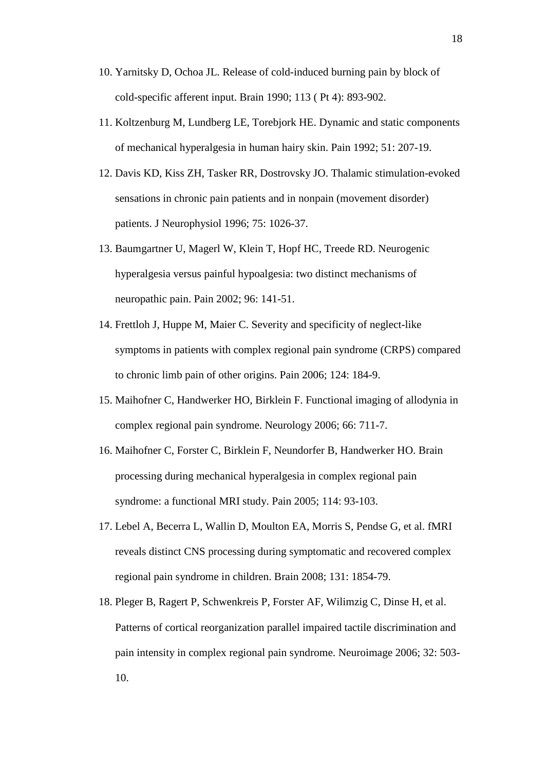- 10. Yarnitsky D, Ochoa JL. Release of cold-induced burning pain by block of cold-specific afferent input. Brain 1990; 113 ( Pt 4): 893-902.
- 11. Koltzenburg M, Lundberg LE, Torebjork HE. Dynamic and static components of mechanical hyperalgesia in human hairy skin. Pain 1992; 51: 207-19.
- 12. Davis KD, Kiss ZH, Tasker RR, Dostrovsky JO. Thalamic stimulation-evoked sensations in chronic pain patients and in nonpain (movement disorder) patients. J Neurophysiol 1996; 75: 1026-37.
- 13. Baumgartner U, Magerl W, Klein T, Hopf HC, Treede RD. Neurogenic hyperalgesia versus painful hypoalgesia: two distinct mechanisms of neuropathic pain. Pain 2002; 96: 141-51.
- 14. Frettloh J, Huppe M, Maier C. Severity and specificity of neglect-like symptoms in patients with complex regional pain syndrome (CRPS) compared to chronic limb pain of other origins. Pain 2006; 124: 184-9.
- 15. Maihofner C, Handwerker HO, Birklein F. Functional imaging of allodynia in complex regional pain syndrome. Neurology 2006; 66: 711-7.
- 16. Maihofner C, Forster C, Birklein F, Neundorfer B, Handwerker HO. Brain processing during mechanical hyperalgesia in complex regional pain syndrome: a functional MRI study. Pain 2005; 114: 93-103.
- 17. Lebel A, Becerra L, Wallin D, Moulton EA, Morris S, Pendse G, et al. fMRI reveals distinct CNS processing during symptomatic and recovered complex regional pain syndrome in children. Brain 2008; 131: 1854-79.
- 18. Pleger B, Ragert P, Schwenkreis P, Forster AF, Wilimzig C, Dinse H, et al. Patterns of cortical reorganization parallel impaired tactile discrimination and pain intensity in complex regional pain syndrome. Neuroimage 2006; 32: 503- 10.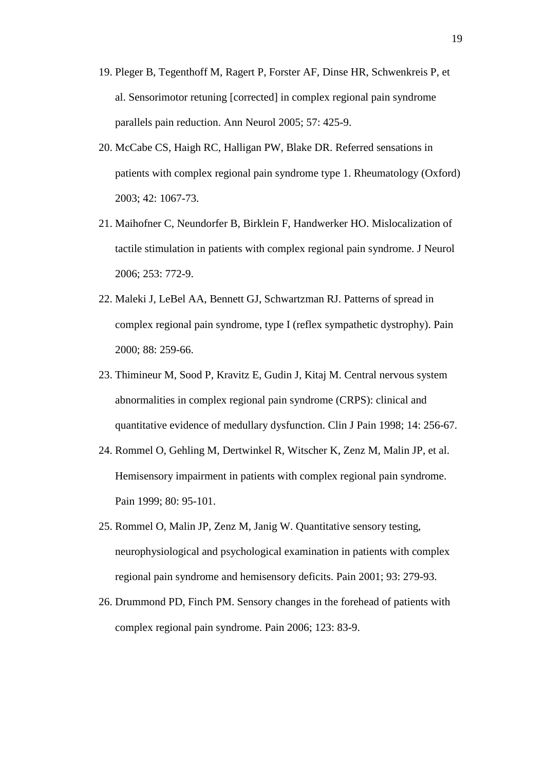- 19. Pleger B, Tegenthoff M, Ragert P, Forster AF, Dinse HR, Schwenkreis P, et al. Sensorimotor retuning [corrected] in complex regional pain syndrome parallels pain reduction. Ann Neurol 2005; 57: 425-9.
- 20. McCabe CS, Haigh RC, Halligan PW, Blake DR. Referred sensations in patients with complex regional pain syndrome type 1. Rheumatology (Oxford) 2003; 42: 1067-73.
- 21. Maihofner C, Neundorfer B, Birklein F, Handwerker HO. Mislocalization of tactile stimulation in patients with complex regional pain syndrome. J Neurol 2006; 253: 772-9.
- 22. Maleki J, LeBel AA, Bennett GJ, Schwartzman RJ. Patterns of spread in complex regional pain syndrome, type I (reflex sympathetic dystrophy). Pain 2000; 88: 259-66.
- 23. Thimineur M, Sood P, Kravitz E, Gudin J, Kitaj M. Central nervous system abnormalities in complex regional pain syndrome (CRPS): clinical and quantitative evidence of medullary dysfunction. Clin J Pain 1998; 14: 256-67.
- 24. Rommel O, Gehling M, Dertwinkel R, Witscher K, Zenz M, Malin JP, et al. Hemisensory impairment in patients with complex regional pain syndrome. Pain 1999; 80: 95-101.
- 25. Rommel O, Malin JP, Zenz M, Janig W. Quantitative sensory testing, neurophysiological and psychological examination in patients with complex regional pain syndrome and hemisensory deficits. Pain 2001; 93: 279-93.
- 26. Drummond PD, Finch PM. Sensory changes in the forehead of patients with complex regional pain syndrome. Pain 2006; 123: 83-9.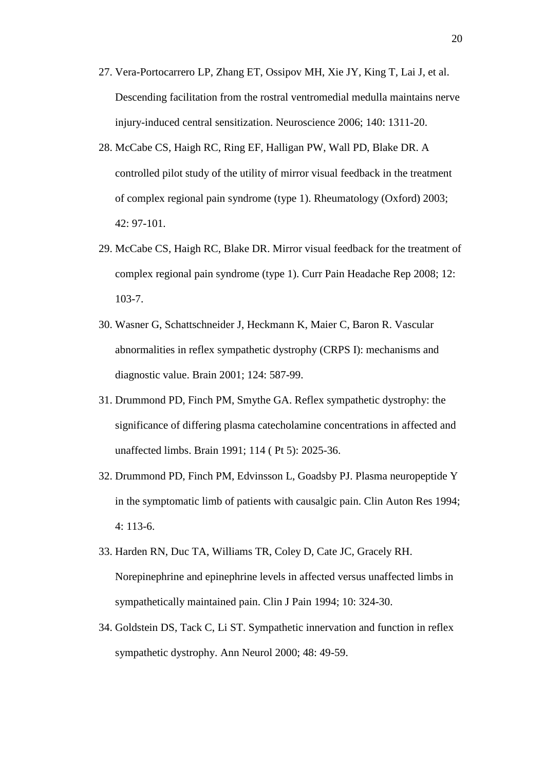- 27. Vera-Portocarrero LP, Zhang ET, Ossipov MH, Xie JY, King T, Lai J, et al. Descending facilitation from the rostral ventromedial medulla maintains nerve injury-induced central sensitization. Neuroscience 2006; 140: 1311-20.
- 28. McCabe CS, Haigh RC, Ring EF, Halligan PW, Wall PD, Blake DR. A controlled pilot study of the utility of mirror visual feedback in the treatment of complex regional pain syndrome (type 1). Rheumatology (Oxford) 2003; 42: 97-101.
- 29. McCabe CS, Haigh RC, Blake DR. Mirror visual feedback for the treatment of complex regional pain syndrome (type 1). Curr Pain Headache Rep 2008; 12: 103-7.
- 30. Wasner G, Schattschneider J, Heckmann K, Maier C, Baron R. Vascular abnormalities in reflex sympathetic dystrophy (CRPS I): mechanisms and diagnostic value. Brain 2001; 124: 587-99.
- 31. Drummond PD, Finch PM, Smythe GA. Reflex sympathetic dystrophy: the significance of differing plasma catecholamine concentrations in affected and unaffected limbs. Brain 1991; 114 ( Pt 5): 2025-36.
- 32. Drummond PD, Finch PM, Edvinsson L, Goadsby PJ. Plasma neuropeptide Y in the symptomatic limb of patients with causalgic pain. Clin Auton Res 1994; 4: 113-6.
- 33. Harden RN, Duc TA, Williams TR, Coley D, Cate JC, Gracely RH. Norepinephrine and epinephrine levels in affected versus unaffected limbs in sympathetically maintained pain. Clin J Pain 1994; 10: 324-30.
- 34. Goldstein DS, Tack C, Li ST. Sympathetic innervation and function in reflex sympathetic dystrophy. Ann Neurol 2000; 48: 49-59.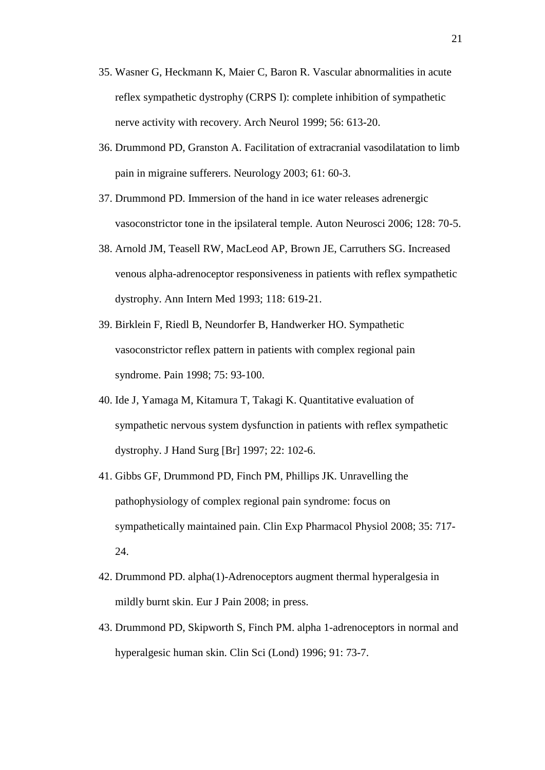- 35. Wasner G, Heckmann K, Maier C, Baron R. Vascular abnormalities in acute reflex sympathetic dystrophy (CRPS I): complete inhibition of sympathetic nerve activity with recovery. Arch Neurol 1999; 56: 613-20.
- 36. Drummond PD, Granston A. Facilitation of extracranial vasodilatation to limb pain in migraine sufferers. Neurology 2003; 61: 60-3.
- 37. Drummond PD. Immersion of the hand in ice water releases adrenergic vasoconstrictor tone in the ipsilateral temple. Auton Neurosci 2006; 128: 70-5.
- 38. Arnold JM, Teasell RW, MacLeod AP, Brown JE, Carruthers SG. Increased venous alpha-adrenoceptor responsiveness in patients with reflex sympathetic dystrophy. Ann Intern Med 1993; 118: 619-21.
- 39. Birklein F, Riedl B, Neundorfer B, Handwerker HO. Sympathetic vasoconstrictor reflex pattern in patients with complex regional pain syndrome. Pain 1998; 75: 93-100.
- 40. Ide J, Yamaga M, Kitamura T, Takagi K. Quantitative evaluation of sympathetic nervous system dysfunction in patients with reflex sympathetic dystrophy. J Hand Surg [Br] 1997; 22: 102-6.
- 41. Gibbs GF, Drummond PD, Finch PM, Phillips JK. Unravelling the pathophysiology of complex regional pain syndrome: focus on sympathetically maintained pain. Clin Exp Pharmacol Physiol 2008; 35: 717- 24.
- 42. Drummond PD. alpha(1)-Adrenoceptors augment thermal hyperalgesia in mildly burnt skin. Eur J Pain 2008; in press.
- 43. Drummond PD, Skipworth S, Finch PM. alpha 1-adrenoceptors in normal and hyperalgesic human skin. Clin Sci (Lond) 1996; 91: 73-7.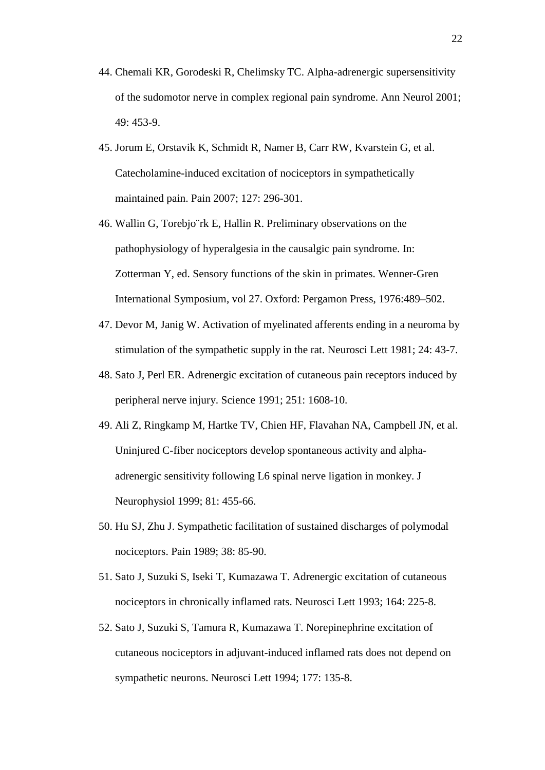- 44. Chemali KR, Gorodeski R, Chelimsky TC. Alpha-adrenergic supersensitivity of the sudomotor nerve in complex regional pain syndrome. Ann Neurol 2001; 49: 453-9.
- 45. Jorum E, Orstavik K, Schmidt R, Namer B, Carr RW, Kvarstein G, et al. Catecholamine-induced excitation of nociceptors in sympathetically maintained pain. Pain 2007; 127: 296-301.
- 46. Wallin G, Torebjo¨rk E, Hallin R. Preliminary observations on the pathophysiology of hyperalgesia in the causalgic pain syndrome. In: Zotterman Y, ed. Sensory functions of the skin in primates. Wenner-Gren International Symposium, vol 27. Oxford: Pergamon Press, 1976:489–502.
- 47. Devor M, Janig W. Activation of myelinated afferents ending in a neuroma by stimulation of the sympathetic supply in the rat. Neurosci Lett 1981; 24: 43-7.
- 48. Sato J, Perl ER. Adrenergic excitation of cutaneous pain receptors induced by peripheral nerve injury. Science 1991; 251: 1608-10.
- 49. Ali Z, Ringkamp M, Hartke TV, Chien HF, Flavahan NA, Campbell JN, et al. Uninjured C-fiber nociceptors develop spontaneous activity and alphaadrenergic sensitivity following L6 spinal nerve ligation in monkey. J Neurophysiol 1999; 81: 455-66.
- 50. Hu SJ, Zhu J. Sympathetic facilitation of sustained discharges of polymodal nociceptors. Pain 1989; 38: 85-90.
- 51. Sato J, Suzuki S, Iseki T, Kumazawa T. Adrenergic excitation of cutaneous nociceptors in chronically inflamed rats. Neurosci Lett 1993; 164: 225-8.
- 52. Sato J, Suzuki S, Tamura R, Kumazawa T. Norepinephrine excitation of cutaneous nociceptors in adjuvant-induced inflamed rats does not depend on sympathetic neurons. Neurosci Lett 1994; 177: 135-8.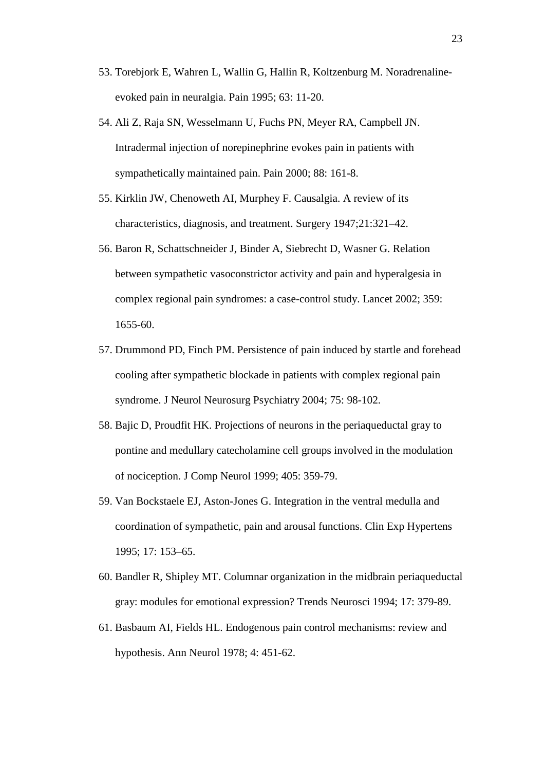- 53. Torebjork E, Wahren L, Wallin G, Hallin R, Koltzenburg M. Noradrenalineevoked pain in neuralgia. Pain 1995; 63: 11-20.
- 54. Ali Z, Raja SN, Wesselmann U, Fuchs PN, Meyer RA, Campbell JN. Intradermal injection of norepinephrine evokes pain in patients with sympathetically maintained pain. Pain 2000; 88: 161-8.
- 55. Kirklin JW, Chenoweth AI, Murphey F. Causalgia. A review of its characteristics, diagnosis, and treatment. Surgery 1947;21:321–42.
- 56. Baron R, Schattschneider J, Binder A, Siebrecht D, Wasner G. Relation between sympathetic vasoconstrictor activity and pain and hyperalgesia in complex regional pain syndromes: a case-control study. Lancet 2002; 359: 1655-60.
- 57. Drummond PD, Finch PM. Persistence of pain induced by startle and forehead cooling after sympathetic blockade in patients with complex regional pain syndrome. J Neurol Neurosurg Psychiatry 2004; 75: 98-102.
- 58. Bajic D, Proudfit HK. Projections of neurons in the periaqueductal gray to pontine and medullary catecholamine cell groups involved in the modulation of nociception. J Comp Neurol 1999; 405: 359-79.
- 59. Van Bockstaele EJ, Aston-Jones G. Integration in the ventral medulla and coordination of sympathetic, pain and arousal functions. Clin Exp Hypertens 1995; 17: 153–65.
- 60. Bandler R, Shipley MT. Columnar organization in the midbrain periaqueductal gray: modules for emotional expression? Trends Neurosci 1994; 17: 379-89.
- 61. Basbaum AI, Fields HL. Endogenous pain control mechanisms: review and hypothesis. Ann Neurol 1978; 4: 451-62.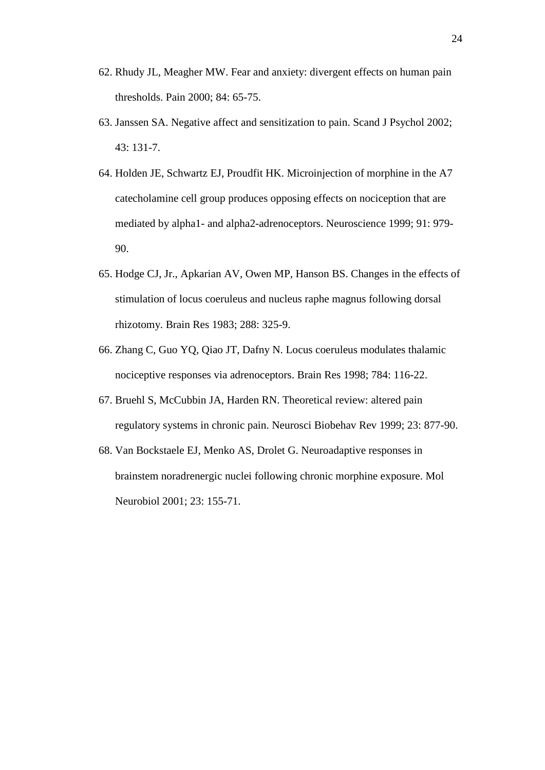- 62. Rhudy JL, Meagher MW. Fear and anxiety: divergent effects on human pain thresholds. Pain 2000; 84: 65-75.
- 63. Janssen SA. Negative affect and sensitization to pain. Scand J Psychol 2002; 43: 131-7.
- 64. Holden JE, Schwartz EJ, Proudfit HK. Microinjection of morphine in the A7 catecholamine cell group produces opposing effects on nociception that are mediated by alpha1- and alpha2-adrenoceptors. Neuroscience 1999; 91: 979- 90.
- 65. Hodge CJ, Jr., Apkarian AV, Owen MP, Hanson BS. Changes in the effects of stimulation of locus coeruleus and nucleus raphe magnus following dorsal rhizotomy. Brain Res 1983; 288: 325-9.
- 66. Zhang C, Guo YQ, Qiao JT, Dafny N. Locus coeruleus modulates thalamic nociceptive responses via adrenoceptors. Brain Res 1998; 784: 116-22.
- 67. Bruehl S, McCubbin JA, Harden RN. Theoretical review: altered pain regulatory systems in chronic pain. Neurosci Biobehav Rev 1999; 23: 877-90.
- 68. Van Bockstaele EJ, Menko AS, Drolet G. Neuroadaptive responses in brainstem noradrenergic nuclei following chronic morphine exposure. Mol Neurobiol 2001; 23: 155-71.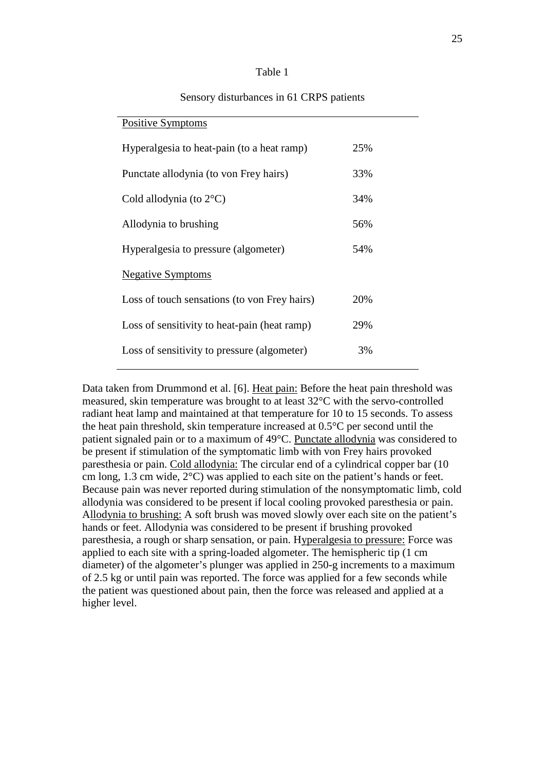#### Table 1

# Positive Symptoms Hyperalgesia to heat-pain (to a heat ramp) 25% Punctate allodynia (to von Frey hairs) 33% Cold allodynia (to  $2^{\circ}$ C) 34% Allodynia to brushing 56% Hyperalgesia to pressure (algometer) 54% Negative Symptoms Loss of touch sensations (to von Frey hairs) 20% Loss of sensitivity to heat-pain (heat ramp) 29% Loss of sensitivity to pressure (algometer) 3%

# Sensory disturbances in 61 CRPS patients

Data taken from Drummond et al. [6]. Heat pain: Before the heat pain threshold was measured, skin temperature was brought to at least 32°C with the servo-controlled radiant heat lamp and maintained at that temperature for 10 to 15 seconds. To assess the heat pain threshold, skin temperature increased at 0.5°C per second until the patient signaled pain or to a maximum of 49°C. Punctate allodynia was considered to be present if stimulation of the symptomatic limb with von Frey hairs provoked paresthesia or pain. Cold allodynia: The circular end of a cylindrical copper bar (10 cm long, 1.3 cm wide, 2°C) was applied to each site on the patient's hands or feet. Because pain was never reported during stimulation of the nonsymptomatic limb, cold allodynia was considered to be present if local cooling provoked paresthesia or pain. Allodynia to brushing: A soft brush was moved slowly over each site on the patient's hands or feet. Allodynia was considered to be present if brushing provoked paresthesia, a rough or sharp sensation, or pain. Hyperalgesia to pressure: Force was applied to each site with a spring-loaded algometer. The hemispheric tip (1 cm diameter) of the algometer's plunger was applied in 250-g increments to a maximum of 2.5 kg or until pain was reported. The force was applied for a few seconds while the patient was questioned about pain, then the force was released and applied at a higher level.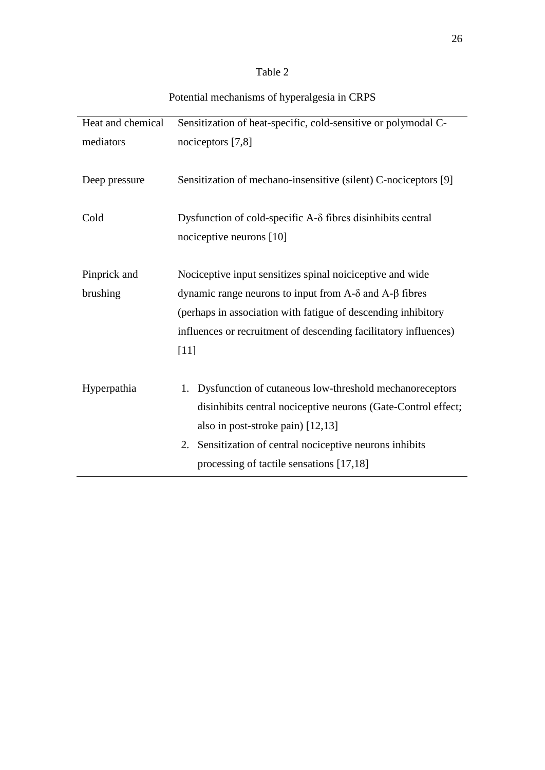# Table 2

| Heat and chemical | Sensitization of heat-specific, cold-sensitive or polymodal C-                                                                         |  |  |  |
|-------------------|----------------------------------------------------------------------------------------------------------------------------------------|--|--|--|
| mediators         | nociceptors [7,8]                                                                                                                      |  |  |  |
| Deep pressure     | Sensitization of mechano-insensitive (silent) C-nociceptors [9]                                                                        |  |  |  |
| Cold              | Dysfunction of cold-specific $A-\delta$ fibres disinhibits central<br>nociceptive neurons [10]                                         |  |  |  |
| Pinprick and      | Nociceptive input sensitizes spinal noiciceptive and wide                                                                              |  |  |  |
| brushing          | dynamic range neurons to input from A- $\delta$ and A- $\beta$ fibres<br>(perhaps in association with fatigue of descending inhibitory |  |  |  |
|                   |                                                                                                                                        |  |  |  |
|                   |                                                                                                                                        |  |  |  |
|                   | influences or recruitment of descending facilitatory influences)                                                                       |  |  |  |
|                   | [11]                                                                                                                                   |  |  |  |
|                   |                                                                                                                                        |  |  |  |
| Hyperpathia       | 1. Dysfunction of cutaneous low-threshold mechanoreceptors                                                                             |  |  |  |
|                   | disinhibits central nociceptive neurons (Gate-Control effect;                                                                          |  |  |  |
|                   | also in post-stroke pain) [12,13]                                                                                                      |  |  |  |
|                   | 2. Sensitization of central nociceptive neurons inhibits                                                                               |  |  |  |
|                   | processing of tactile sensations [17,18]                                                                                               |  |  |  |

# Potential mechanisms of hyperalgesia in CRPS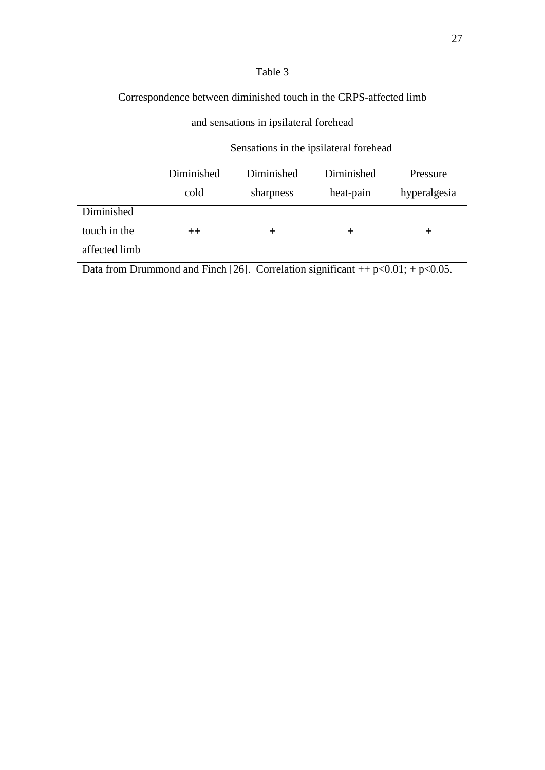# Table 3

# Correspondence between diminished touch in the CRPS-affected limb

# and sensations in ipsilateral forehead

|               | Sensations in the ipsilateral forehead |            |            |              |
|---------------|----------------------------------------|------------|------------|--------------|
|               | Diminished                             | Diminished | Diminished | Pressure     |
|               | cold                                   | sharpness  | heat-pain  | hyperalgesia |
| Diminished    |                                        |            |            |              |
| touch in the  | $++$                                   | $\div$     | $\pm$      | $\div$       |
| affected limb |                                        |            |            |              |

Data from Drummond and Finch [26]. Correlation significant  $++$  p<0.01;  $+$  p<0.05.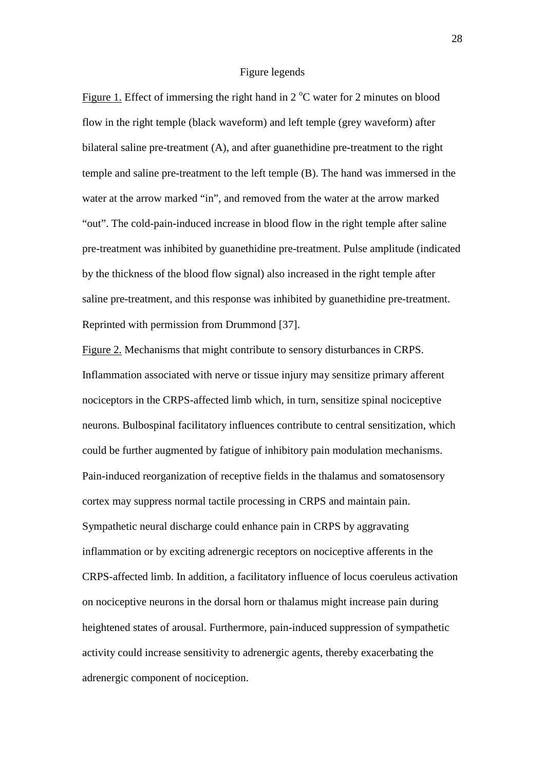## Figure legends

Figure 1. Effect of immersing the right hand in  $2^{\circ}$ C water for 2 minutes on blood flow in the right temple (black waveform) and left temple (grey waveform) after bilateral saline pre-treatment (A), and after guanethidine pre-treatment to the right temple and saline pre-treatment to the left temple (B). The hand was immersed in the water at the arrow marked "in", and removed from the water at the arrow marked "out". The cold-pain-induced increase in blood flow in the right temple after saline pre-treatment was inhibited by guanethidine pre-treatment. Pulse amplitude (indicated by the thickness of the blood flow signal) also increased in the right temple after saline pre-treatment, and this response was inhibited by guanethidine pre-treatment. Reprinted with permission from Drummond [37].

Figure 2. Mechanisms that might contribute to sensory disturbances in CRPS. Inflammation associated with nerve or tissue injury may sensitize primary afferent nociceptors in the CRPS-affected limb which, in turn, sensitize spinal nociceptive neurons. Bulbospinal facilitatory influences contribute to central sensitization, which could be further augmented by fatigue of inhibitory pain modulation mechanisms. Pain-induced reorganization of receptive fields in the thalamus and somatosensory cortex may suppress normal tactile processing in CRPS and maintain pain. Sympathetic neural discharge could enhance pain in CRPS by aggravating inflammation or by exciting adrenergic receptors on nociceptive afferents in the CRPS-affected limb. In addition, a facilitatory influence of locus coeruleus activation on nociceptive neurons in the dorsal horn or thalamus might increase pain during heightened states of arousal. Furthermore, pain-induced suppression of sympathetic activity could increase sensitivity to adrenergic agents, thereby exacerbating the adrenergic component of nociception.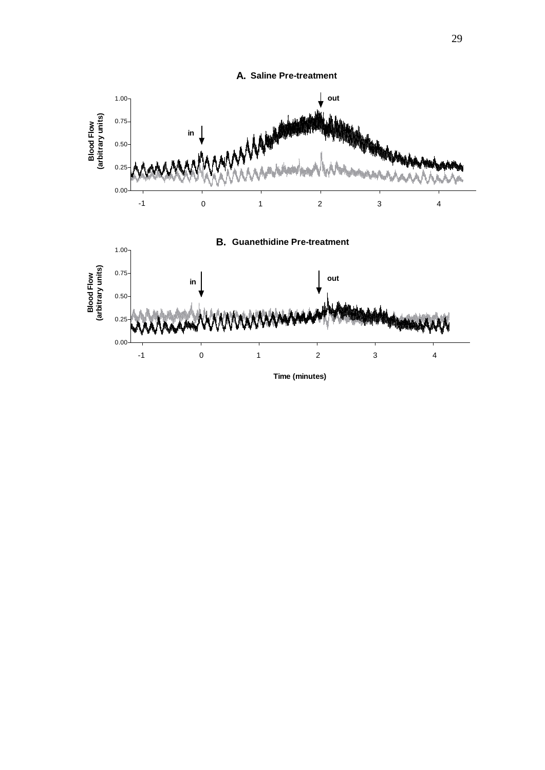

29